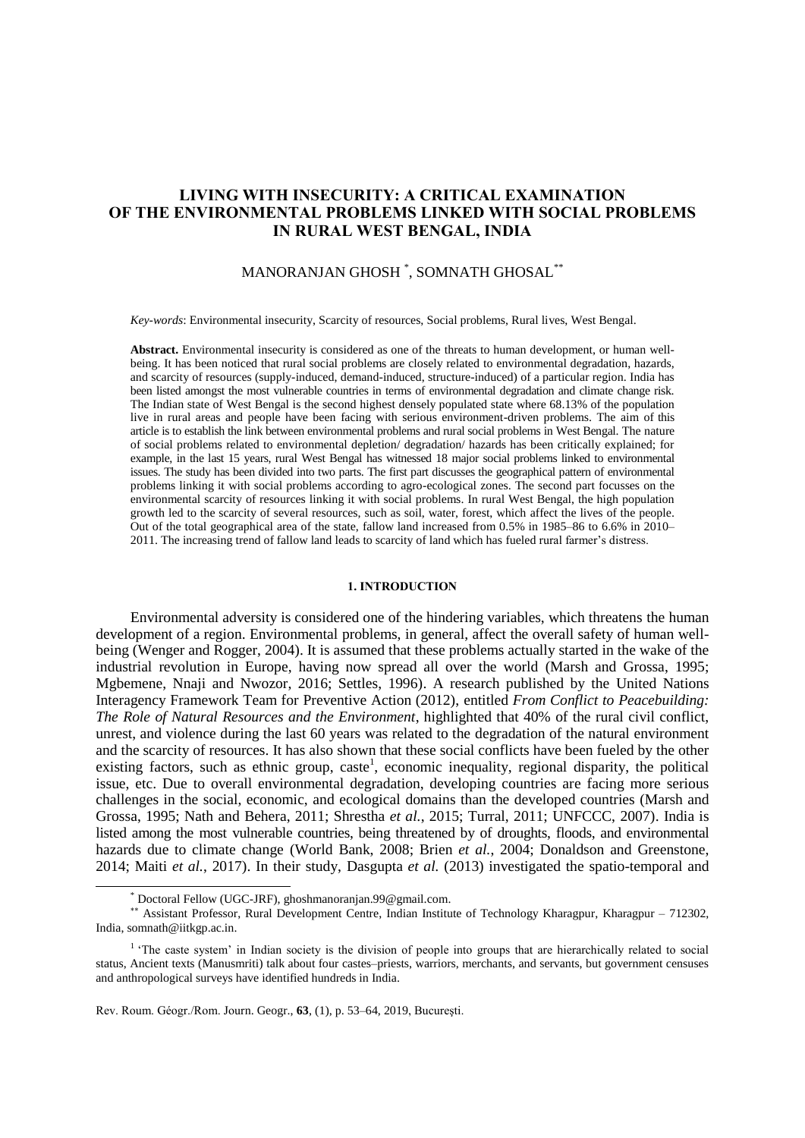# **LIVING WITH INSECURITY: A CRITICAL EXAMINATION OF THE ENVIRONMENTAL PROBLEMS LINKED WITH SOCIAL PROBLEMS IN RURAL WEST BENGAL, INDIA**

# MANORANJAN GHOSH \* , SOMNATH GHOSAL\*\*

*Key-words*: Environmental insecurity, Scarcity of resources, Social problems, Rural lives, West Bengal.

**Abstract.** Environmental insecurity is considered as one of the threats to human development, or human wellbeing. It has been noticed that rural social problems are closely related to environmental degradation, hazards, and scarcity of resources (supply-induced, demand-induced, structure-induced) of a particular region. India has been listed amongst the most vulnerable countries in terms of environmental degradation and climate change risk. The Indian state of West Bengal is the second highest densely populated state where 68.13% of the population live in rural areas and people have been facing with serious environment-driven problems. The aim of this article is to establish the link between environmental problems and rural social problems in West Bengal. The nature of social problems related to environmental depletion/ degradation/ hazards has been critically explained; for example, in the last 15 years, rural West Bengal has witnessed 18 major social problems linked to environmental issues. The study has been divided into two parts. The first part discusses the geographical pattern of environmental problems linking it with social problems according to agro-ecological zones. The second part focusses on the environmental scarcity of resources linking it with social problems. In rural West Bengal, the high population growth led to the scarcity of several resources, such as soil, water, forest, which affect the lives of the people. Out of the total geographical area of the state, fallow land increased from 0.5% in 1985–86 to 6.6% in 2010– 2011. The increasing trend of fallow land leads to scarcity of land which has fueled rural farmer's distress.

## **1. INTRODUCTION**

Environmental adversity is considered one of the hindering variables, which threatens the human development of a region. Environmental problems, in general, affect the overall safety of human wellbeing (Wenger and Rogger, 2004). It is assumed that these problems actually started in the wake of the industrial revolution in Europe, having now spread all over the world (Marsh and Grossa, 1995; Mgbemene, Nnaji and Nwozor, 2016; Settles, 1996). A research published by the United Nations Interagency Framework Team for Preventive Action (2012), entitled *From Conflict to Peacebuilding: The Role of Natural Resources and the Environment*, highlighted that 40% of the rural civil conflict, unrest, and violence during the last 60 years was related to the degradation of the natural environment and the scarcity of resources. It has also shown that these social conflicts have been fueled by the other existing factors, such as ethnic group, caste<sup>1</sup>, economic inequality, regional disparity, the political issue, etc. Due to overall environmental degradation, developing countries are facing more serious challenges in the social, economic, and ecological domains than the developed countries (Marsh and Grossa, 1995; Nath and Behera, 2011; Shrestha *et al.*, 2015; Turral, 2011; UNFCCC, 2007). India is listed among the most vulnerable countries, being threatened by of droughts, floods, and environmental hazards due to climate change (World Bank, 2008; Brien *et al.*, 2004; Donaldson and Greenstone, 2014; Maiti *et al.*, 2017). In their study, Dasgupta *et al.* (2013) investigated the spatio-temporal and

<sup>\*</sup> Doctoral Fellow (UGC-JRF)[, ghoshmanoranjan.99@gmail.com.](mailto:ghoshmanoranjan.99@gmail.com)

Assistant Professor, Rural Development Centre, Indian Institute of Technology Kharagpur, Kharagpur – 712302, India, [somnath@iitkgp.ac.in.](mailto:somnath@iitkgp.ac.in)

<sup>&</sup>lt;sup>1</sup> 'The caste system' in Indian society is the division of people into groups that are hierarchically related to social status, Ancient texts (Manusmriti) talk about four castes–priests, warriors, merchants, and servants, but government censuses and anthropological surveys have identified hundreds in India.

Rev. Roum. Géogr./Rom. Journ. Geogr., **63**, (1), p. 53–64, 2019, Bucureşti.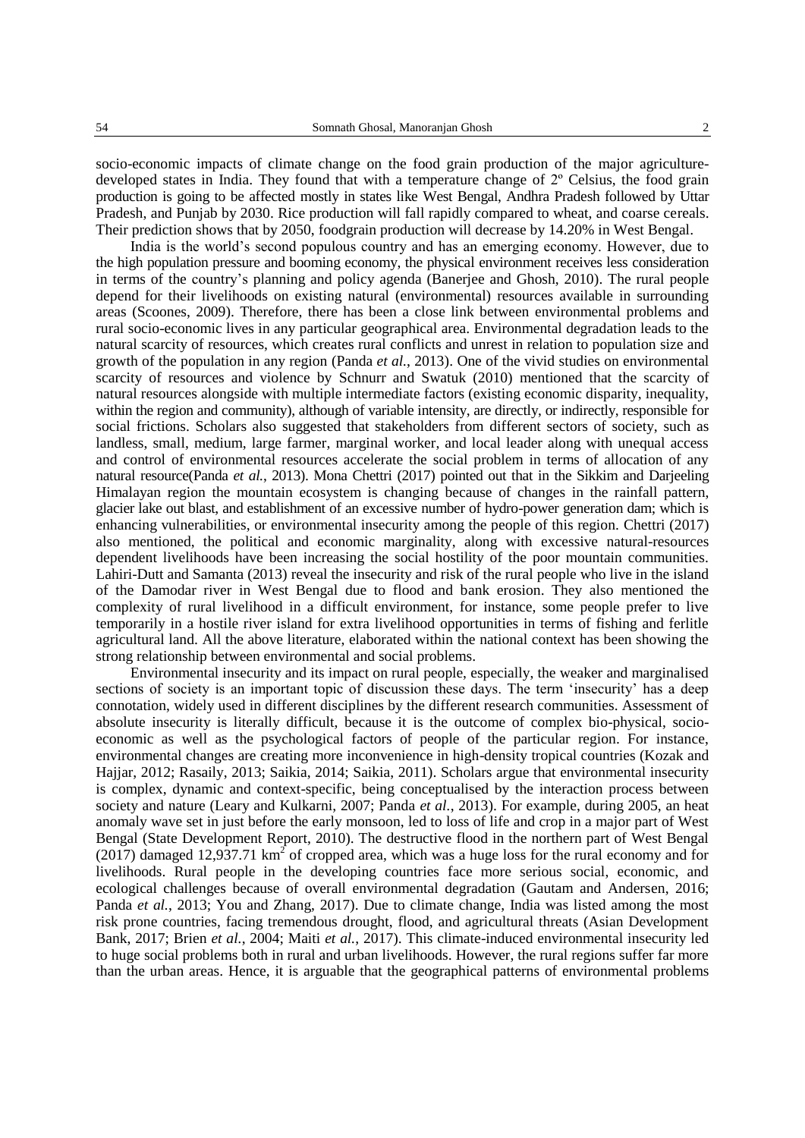socio-economic impacts of climate change on the food grain production of the major agriculturedeveloped states in India. They found that with a temperature change of 2º Celsius, the food grain production is going to be affected mostly in states like West Bengal, Andhra Pradesh followed by Uttar Pradesh, and Punjab by 2030. Rice production will fall rapidly compared to wheat, and coarse cereals. Their prediction shows that by 2050, foodgrain production will decrease by 14.20% in West Bengal.

India is the world's second populous country and has an emerging economy. However, due to the high population pressure and booming economy, the physical environment receives less consideration in terms of the country's planning and policy agenda (Banerjee and Ghosh, 2010). The rural people depend for their livelihoods on existing natural (environmental) resources available in surrounding areas (Scoones, 2009). Therefore, there has been a close link between environmental problems and rural socio-economic lives in any particular geographical area. Environmental degradation leads to the natural scarcity of resources, which creates rural conflicts and unrest in relation to population size and growth of the population in any region (Panda *et al.*, 2013). One of the vivid studies on environmental scarcity of resources and violence by Schnurr and Swatuk (2010) mentioned that the scarcity of natural resources alongside with multiple intermediate factors (existing economic disparity, inequality, within the region and community), although of variable intensity, are directly, or indirectly, responsible for social frictions. Scholars also suggested that stakeholders from different sectors of society, such as landless, small, medium, large farmer, marginal worker, and local leader along with unequal access and control of environmental resources accelerate the social problem in terms of allocation of any natural resource(Panda *et al.*, 2013). Mona Chettri (2017) pointed out that in the Sikkim and Darjeeling Himalayan region the mountain ecosystem is changing because of changes in the rainfall pattern, glacier lake out blast, and establishment of an excessive number of hydro-power generation dam; which is enhancing vulnerabilities, or environmental insecurity among the people of this region. Chettri (2017) also mentioned, the political and economic marginality, along with excessive natural-resources dependent livelihoods have been increasing the social hostility of the poor mountain communities. Lahiri-Dutt and Samanta (2013) reveal the insecurity and risk of the rural people who live in the island of the Damodar river in West Bengal due to flood and bank erosion. They also mentioned the complexity of rural livelihood in a difficult environment, for instance, some people prefer to live temporarily in a hostile river island for extra livelihood opportunities in terms of fishing and ferlitle agricultural land. All the above literature, elaborated within the national context has been showing the strong relationship between environmental and social problems.

Environmental insecurity and its impact on rural people, especially, the weaker and marginalised sections of society is an important topic of discussion these days. The term 'insecurity' has a deep connotation, widely used in different disciplines by the different research communities. Assessment of absolute insecurity is literally difficult, because it is the outcome of complex bio-physical, socioeconomic as well as the psychological factors of people of the particular region. For instance, environmental changes are creating more inconvenience in high-density tropical countries (Kozak and Hajjar, 2012; Rasaily, 2013; Saikia, 2014; Saikia, 2011). Scholars argue that environmental insecurity is complex, dynamic and context-specific, being conceptualised by the interaction process between society and nature (Leary and Kulkarni, 2007; Panda *et al.*, 2013). For example, during 2005, an heat anomaly wave set in just before the early monsoon, led to loss of life and crop in a major part of West Bengal (State Development Report, 2010). The destructive flood in the northern part of West Bengal (2017) damaged 12,937.71  $km^2$  of cropped area, which was a huge loss for the rural economy and for livelihoods. Rural people in the developing countries face more serious social, economic, and ecological challenges because of overall environmental degradation (Gautam and Andersen, 2016; Panda *et al.*, 2013; You and Zhang, 2017). Due to climate change, India was listed among the most risk prone countries, facing tremendous drought, flood, and agricultural threats (Asian Development Bank, 2017; Brien *et al.*, 2004; Maiti *et al.*, 2017). This climate-induced environmental insecurity led to huge social problems both in rural and urban livelihoods. However, the rural regions suffer far more than the urban areas. Hence, it is arguable that the geographical patterns of environmental problems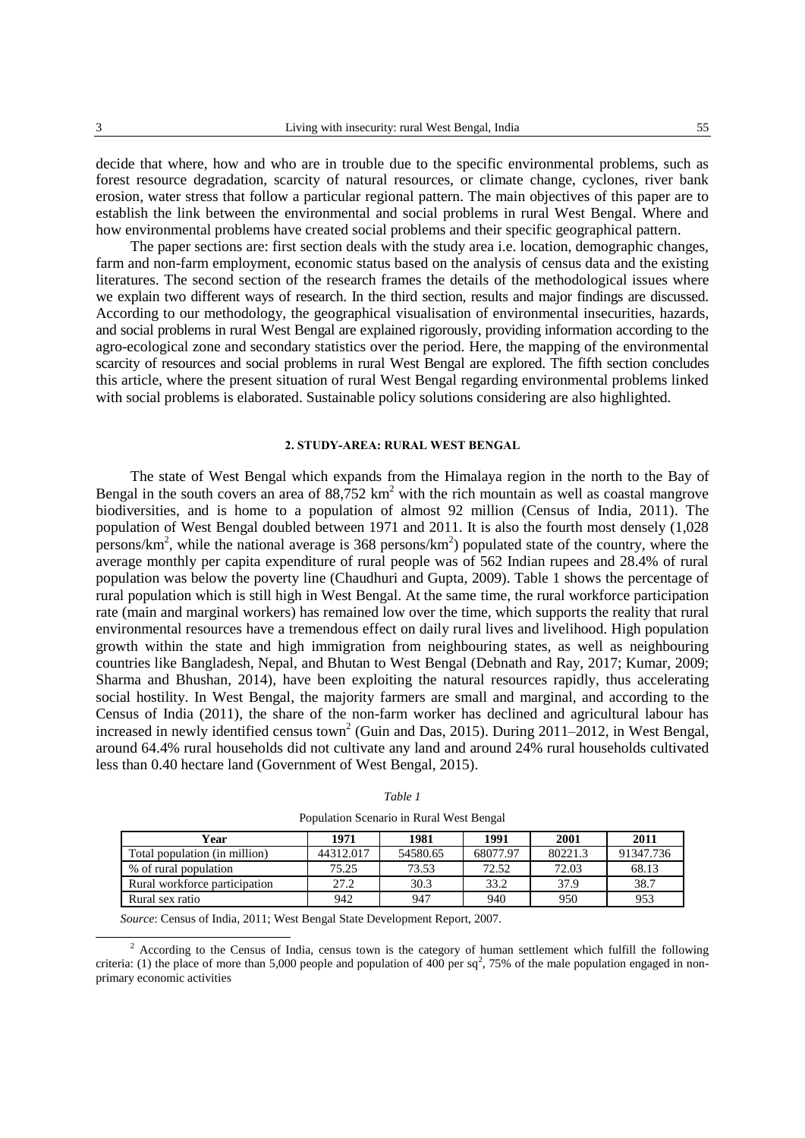decide that where, how and who are in trouble due to the specific environmental problems, such as forest resource degradation, scarcity of natural resources, or climate change, cyclones, river bank erosion, water stress that follow a particular regional pattern. The main objectives of this paper are to establish the link between the environmental and social problems in rural West Bengal. Where and how environmental problems have created social problems and their specific geographical pattern.

The paper sections are: first section deals with the study area i.e. location, demographic changes, farm and non-farm employment, economic status based on the analysis of census data and the existing literatures. The second section of the research frames the details of the methodological issues where we explain two different ways of research. In the third section, results and major findings are discussed. According to our methodology, the geographical visualisation of environmental insecurities, hazards, and social problems in rural West Bengal are explained rigorously, providing information according to the agro-ecological zone and secondary statistics over the period. Here, the mapping of the environmental scarcity of resources and social problems in rural West Bengal are explored. The fifth section concludes this article, where the present situation of rural West Bengal regarding environmental problems linked with social problems is elaborated. Sustainable policy solutions considering are also highlighted.

### **2. STUDY-AREA: RURAL WEST BENGAL**

The state of West Bengal which expands from the Himalaya region in the north to the Bay of Bengal in the south covers an area of  $88,752 \text{ km}^2$  with the rich mountain as well as coastal mangrove biodiversities, and is home to a population of almost 92 million (Census of India, 2011). The population of West Bengal doubled between 1971 and 2011. It is also the fourth most densely (1,028 persons/ $km^2$ , while the national average is 368 persons/ $km^2$ ) populated state of the country, where the average monthly per capita expenditure of rural people was of 562 Indian rupees and 28.4% of rural population was below the poverty line (Chaudhuri and Gupta, 2009). Table 1 shows the percentage of rural population which is still high in West Bengal. At the same time, the rural workforce participation rate (main and marginal workers) has remained low over the time, which supports the reality that rural environmental resources have a tremendous effect on daily rural lives and livelihood. High population growth within the state and high immigration from neighbouring states, as well as neighbouring countries like Bangladesh, Nepal, and Bhutan to West Bengal (Debnath and Ray, 2017; Kumar, 2009; Sharma and Bhushan, 2014), have been exploiting the natural resources rapidly, thus accelerating social hostility. In West Bengal, the majority farmers are small and marginal, and according to the Census of India (2011), the share of the non-farm worker has declined and agricultural labour has increased in newly identified census town<sup>2</sup> (Guin and Das, 2015). During 2011–2012, in West Bengal, around 64.4% rural households did not cultivate any land and around 24% rural households cultivated less than 0.40 hectare land (Government of West Bengal, 2015).

| ant |
|-----|
|-----|

Population Scenario in Rural West Bengal

| Year                          | 1971      | 1981     | 1991     | 2001    | 2011      |
|-------------------------------|-----------|----------|----------|---------|-----------|
| Total population (in million) | 44312.017 | 54580.65 | 68077.97 | 80221.3 | 91347.736 |
| % of rural population         | 75.25     | 73.53    | 72.52    | 72.03   | 68.13     |
| Rural workforce participation | 27.2      | 30.3     | 33.2     | 37.9    | 38.7      |
| Rural sex ratio               | 942       | 947      | 940      | 950     | 953       |

*Source*: Census of India, 2011; West Bengal State Development Report, 2007.

 $2$  According to the Census of India, census town is the category of human settlement which fulfill the following criteria: (1) the place of more than 5,000 people and population of 400 per sq<sup>2</sup>, 75% of the male population engaged in nonprimary economic activities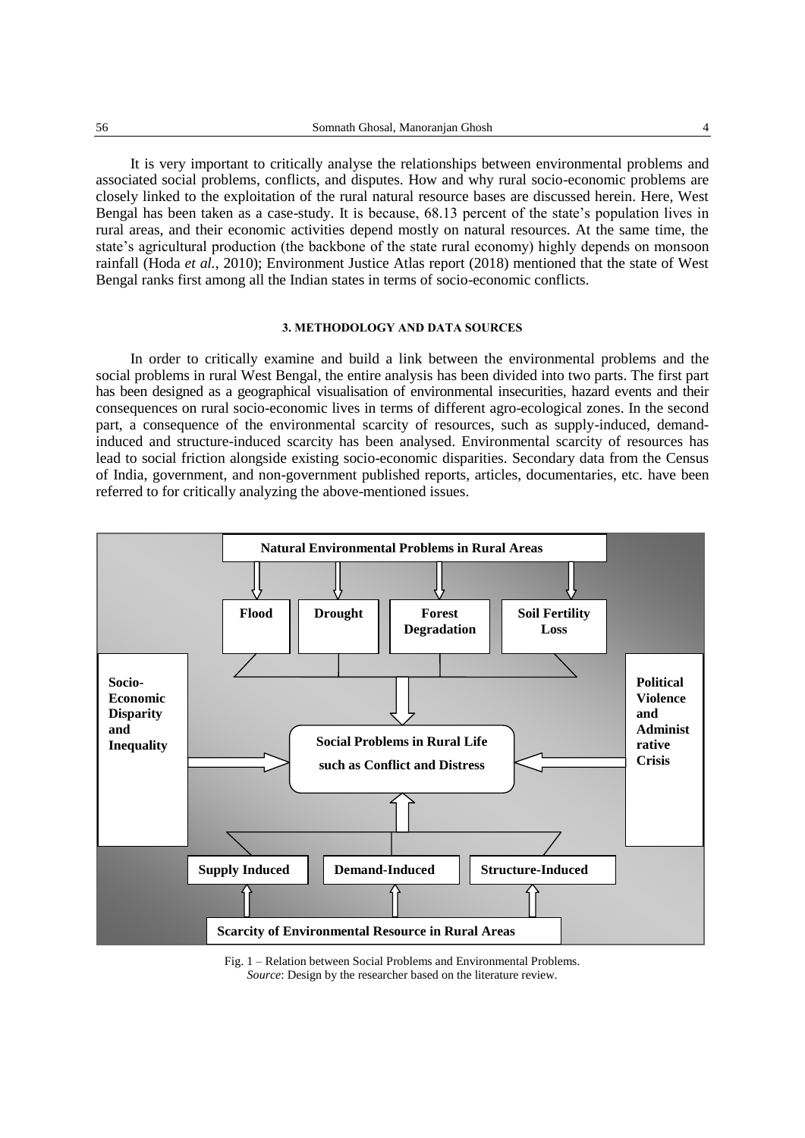It is very important to critically analyse the relationships between environmental problems and associated social problems, conflicts, and disputes. How and why rural socio-economic problems are closely linked to the exploitation of the rural natural resource bases are discussed herein. Here, West Bengal has been taken as a case-study. It is because, 68.13 percent of the state's population lives in rural areas, and their economic activities depend mostly on natural resources. At the same time, the state's agricultural production (the backbone of the state rural economy) highly depends on monsoon rainfall (Hoda *et al.*, 2010); Environment Justice Atlas report (2018) mentioned that the state of West Bengal ranks first among all the Indian states in terms of socio-economic conflicts.

## **3. METHODOLOGY AND DATA SOURCES**

In order to critically examine and build a link between the environmental problems and the social problems in rural West Bengal, the entire analysis has been divided into two parts. The first part has been designed as a geographical visualisation of environmental insecurities, hazard events and their consequences on rural socio-economic lives in terms of different agro-ecological zones. In the second part, a consequence of the environmental scarcity of resources, such as supply-induced, demandinduced and structure-induced scarcity has been analysed. Environmental scarcity of resources has lead to social friction alongside existing socio-economic disparities. Secondary data from the Census of India, government, and non-government published reports, articles, documentaries, etc. have been referred to for critically analyzing the above-mentioned issues.



Fig. 1 – Relation between Social Problems and Environmental Problems. *Source*: Design by the researcher based on the literature review.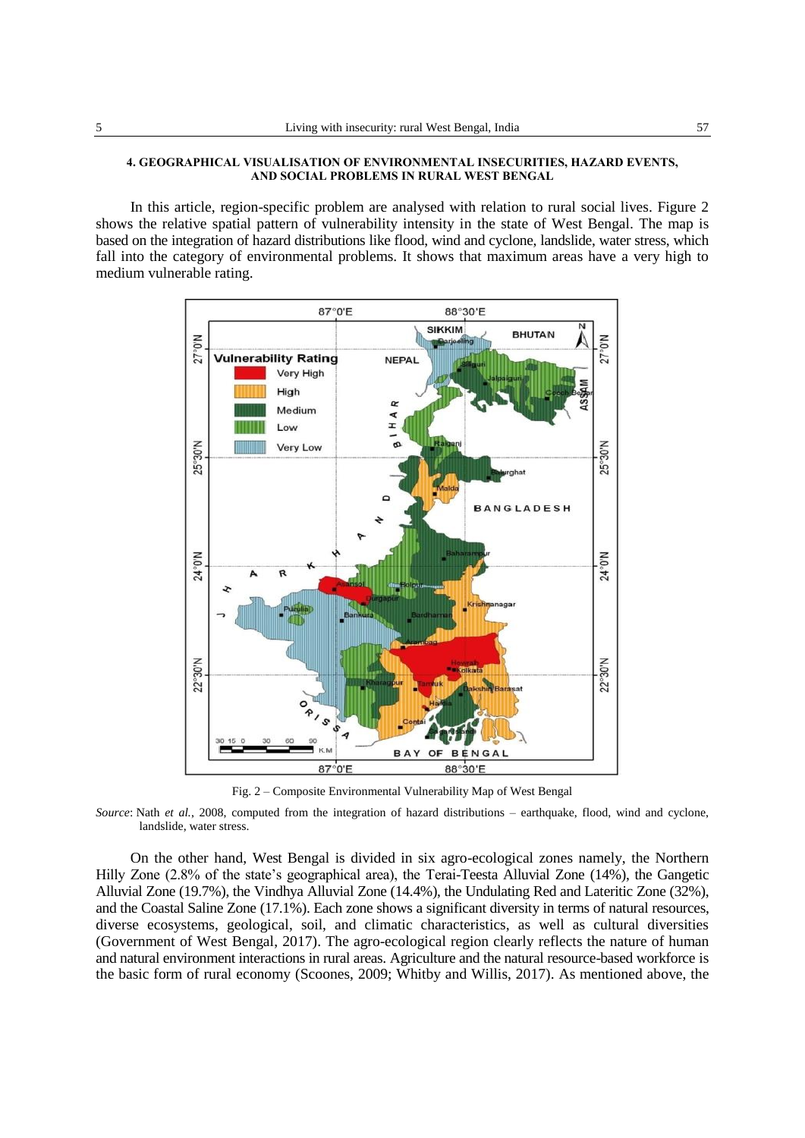## **4. GEOGRAPHICAL VISUALISATION OF ENVIRONMENTAL INSECURITIES, HAZARD EVENTS, AND SOCIAL PROBLEMS IN RURAL WEST BENGAL**

In this article, region-specific problem are analysed with relation to rural social lives. Figure 2 shows the relative spatial pattern of vulnerability intensity in the state of West Bengal. The map is based on the integration of hazard distributions like flood, wind and cyclone, landslide, water stress, which fall into the category of environmental problems. It shows that maximum areas have a very high to medium vulnerable rating.



Fig. 2 – Composite Environmental Vulnerability Map of West Bengal

*Source*: Nath *et al.*, 2008, computed from the integration of hazard distributions – earthquake, flood, wind and cyclone, landslide, water stress.

On the other hand, West Bengal is divided in six agro-ecological zones namely, the Northern Hilly Zone (2.8% of the state's geographical area), the Terai-Teesta Alluvial Zone (14%), the Gangetic Alluvial Zone (19.7%), the Vindhya Alluvial Zone (14.4%), the Undulating Red and Lateritic Zone (32%), and the Coastal Saline Zone (17.1%). Each zone shows a significant diversity in terms of natural resources, diverse ecosystems, geological, soil, and climatic characteristics, as well as cultural diversities (Government of West Bengal, 2017). The agro-ecological region clearly reflects the nature of human and natural environment interactions in rural areas. Agriculture and the natural resource-based workforce is the basic form of rural economy (Scoones, 2009; Whitby and Willis, 2017). As mentioned above, the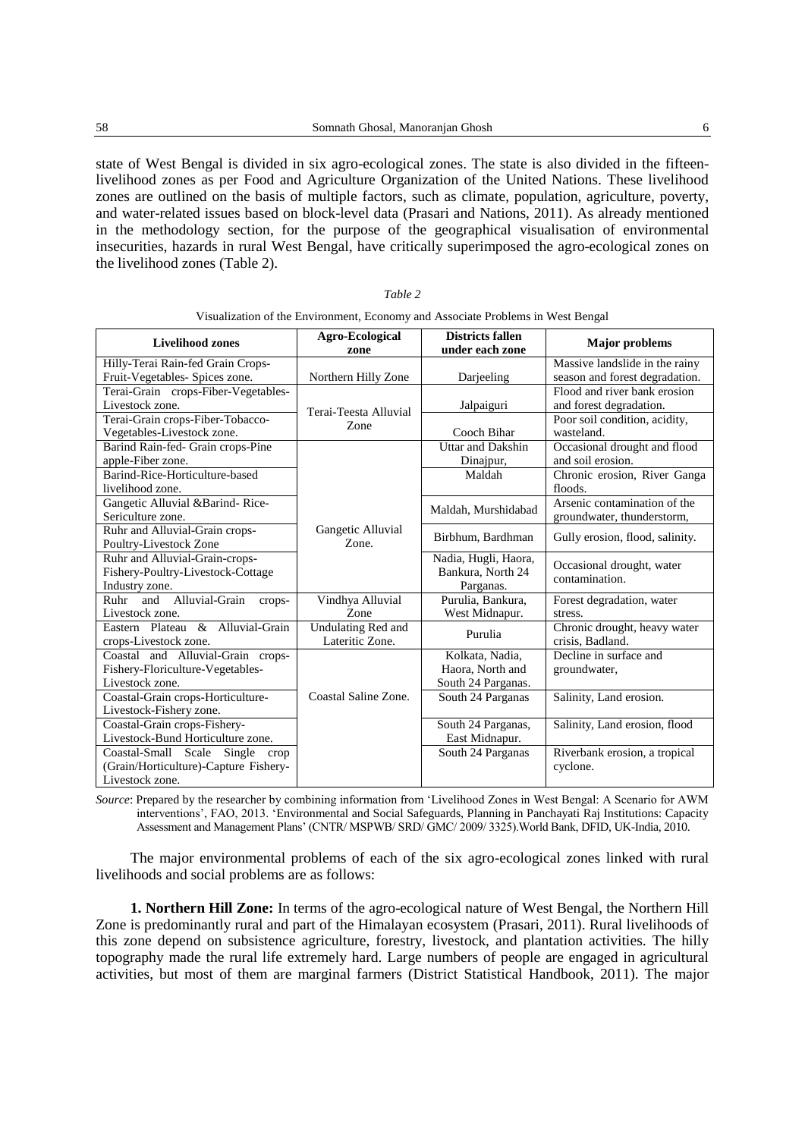state of West Bengal is divided in six agro-ecological zones. The state is also divided in the fifteenlivelihood zones as per Food and Agriculture Organization of the United Nations. These livelihood zones are outlined on the basis of multiple factors, such as climate, population, agriculture, poverty, and water-related issues based on block-level data (Prasari and Nations, 2011). As already mentioned in the methodology section, for the purpose of the geographical visualisation of environmental insecurities, hazards in rural West Bengal, have critically superimposed the agro-ecological zones on the livelihood zones (Table 2).

|                                       | risualization of the Environment, Economy and Associate I footeins in west Deligat |                                            |                                 |
|---------------------------------------|------------------------------------------------------------------------------------|--------------------------------------------|---------------------------------|
| <b>Livelihood zones</b>               | <b>Agro-Ecological</b><br>zone                                                     | <b>Districts fallen</b><br>under each zone | <b>Major</b> problems           |
| Hilly-Terai Rain-fed Grain Crops-     |                                                                                    |                                            | Massive landslide in the rainy  |
| Fruit-Vegetables- Spices zone.        | Northern Hilly Zone                                                                | Darjeeling                                 | season and forest degradation.  |
| Terai-Grain crops-Fiber-Vegetables-   |                                                                                    |                                            | Flood and river bank erosion    |
| Livestock zone.                       | Terai-Teesta Alluvial                                                              | Jalpaiguri                                 | and forest degradation.         |
| Terai-Grain crops-Fiber-Tobacco-      | Zone                                                                               |                                            | Poor soil condition, acidity,   |
| Vegetables-Livestock zone.            |                                                                                    | Cooch Bihar                                | wasteland.                      |
| Barind Rain-fed- Grain crops-Pine     |                                                                                    | Uttar and Dakshin                          | Occasional drought and flood    |
| apple-Fiber zone.                     |                                                                                    | Dinajpur,                                  | and soil erosion.               |
| Barind-Rice-Horticulture-based        |                                                                                    | Maldah                                     | Chronic erosion, River Ganga    |
| livelihood zone.                      |                                                                                    |                                            | floods.                         |
| Gangetic Alluvial &Barind-Rice-       |                                                                                    | Maldah, Murshidabad                        | Arsenic contamination of the    |
| Sericulture zone.                     |                                                                                    |                                            | groundwater, thunderstorm,      |
| Ruhr and Alluvial-Grain crops-        | Gangetic Alluvial                                                                  | Birbhum, Bardhman                          | Gully erosion, flood, salinity. |
| Poultry-Livestock Zone                | Zone.                                                                              |                                            |                                 |
| Ruhr and Alluvial-Grain-crops-        |                                                                                    | Nadia, Hugli, Haora,                       | Occasional drought, water       |
| Fishery-Poultry-Livestock-Cottage     |                                                                                    | Bankura, North 24                          | contamination.                  |
| Industry zone.                        |                                                                                    | Parganas.                                  |                                 |
| Ruhr and Alluvial-Grain<br>crops-     | Vindhya Alluvial                                                                   | Purulia, Bankura,                          | Forest degradation, water       |
| Livestock zone.                       | Zone                                                                               | West Midnapur.                             | stress.                         |
| Eastern Plateau & Alluvial-Grain      | Undulating Red and                                                                 | Purulia                                    | Chronic drought, heavy water    |
| crops-Livestock zone.                 | Lateritic Zone.                                                                    |                                            | crisis, Badland.                |
| Coastal and Alluvial-Grain crops-     |                                                                                    | Kolkata, Nadia,                            | Decline in surface and          |
| Fishery-Floriculture-Vegetables-      |                                                                                    | Haora, North and                           | groundwater,                    |
| Livestock zone.                       |                                                                                    | South 24 Parganas.                         |                                 |
| Coastal-Grain crops-Horticulture-     | Coastal Saline Zone.                                                               | South 24 Parganas                          | Salinity, Land erosion.         |
| Livestock-Fishery zone.               |                                                                                    |                                            |                                 |
| Coastal-Grain crops-Fishery-          |                                                                                    | South 24 Parganas,                         | Salinity, Land erosion, flood   |
| Livestock-Bund Horticulture zone.     |                                                                                    | East Midnapur.                             |                                 |
| Coastal-Small Scale Single crop       |                                                                                    | South 24 Parganas                          | Riverbank erosion, a tropical   |
| (Grain/Horticulture)-Capture Fishery- |                                                                                    |                                            | cyclone.                        |
| Livestock zone.                       |                                                                                    |                                            |                                 |

| Table 2                                                                         |  |
|---------------------------------------------------------------------------------|--|
| Visualization of the Environment, Economy and Associate Problems in West Bengal |  |

*Source*: Prepared by the researcher by combining information from 'Livelihood Zones in West Bengal: A Scenario for AWM interventions', FAO, 2013. 'Environmental and Social Safeguards, Planning in Panchayati Raj Institutions: Capacity Assessment and Management Plans' (CNTR/ MSPWB/ SRD/ GMC/ 2009/ 3325).World Bank, DFID, UK-India, 2010.

The major environmental problems of each of the six agro-ecological zones linked with rural livelihoods and social problems are as follows:

**1. Northern Hill Zone:** In terms of the agro-ecological nature of West Bengal, the Northern Hill Zone is predominantly rural and part of the Himalayan ecosystem (Prasari, 2011). Rural livelihoods of this zone depend on subsistence agriculture, forestry, livestock, and plantation activities. The hilly topography made the rural life extremely hard. Large numbers of people are engaged in agricultural activities, but most of them are marginal farmers (District Statistical Handbook, 2011). The major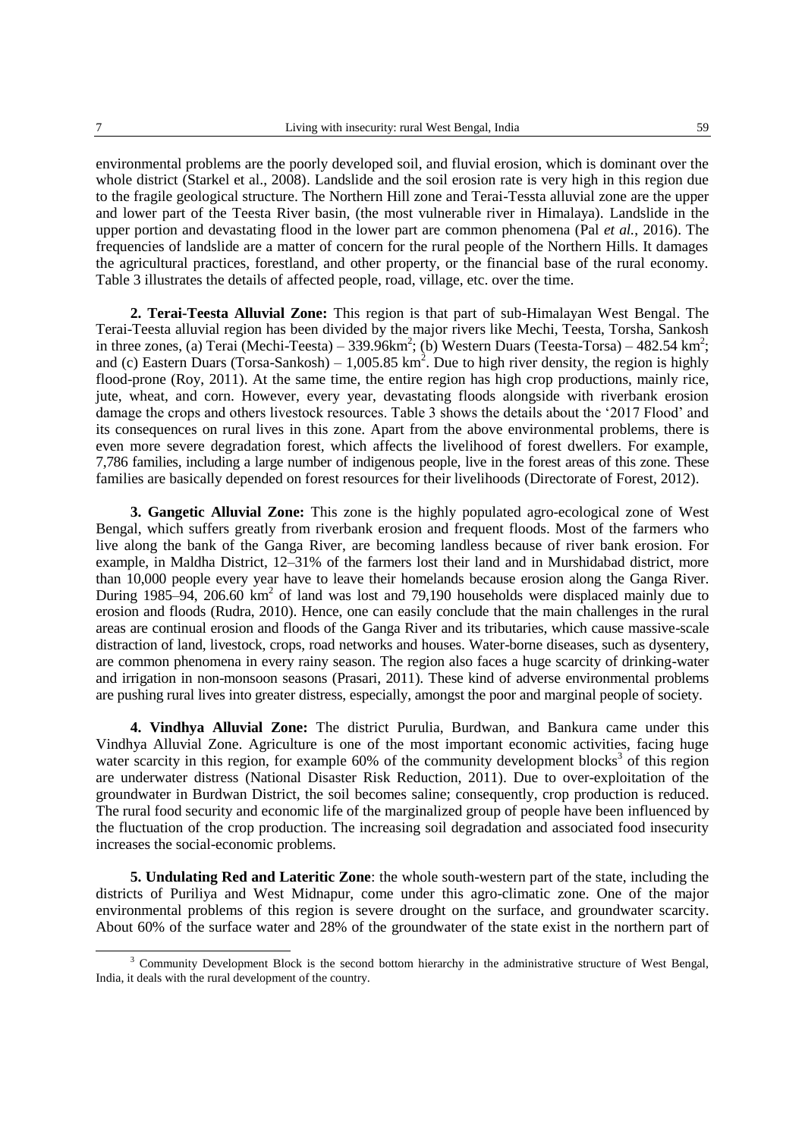environmental problems are the poorly developed soil, and fluvial erosion, which is dominant over the whole district (Starkel et al., 2008). Landslide and the soil erosion rate is very high in this region due to the fragile geological structure. The Northern Hill zone and Terai-Tessta alluvial zone are the upper and lower part of the Teesta River basin, (the most vulnerable river in Himalaya). Landslide in the upper portion and devastating flood in the lower part are common phenomena (Pal *et al.*, 2016). The frequencies of landslide are a matter of concern for the rural people of the Northern Hills. It damages the agricultural practices, forestland, and other property, or the financial base of the rural economy. Table 3 illustrates the details of affected people, road, village, etc. over the time.

**2. Terai-Teesta Alluvial Zone:** This region is that part of sub-Himalayan West Bengal. The Terai-Teesta alluvial region has been divided by the major rivers like Mechi, Teesta, Torsha, Sankosh in three zones, (a) Terai (Mechi-Teesta) – 339.96km<sup>2</sup>; (b) Western Duars (Teesta-Torsa) – 482.54 km<sup>2</sup>; and (c) Eastern Duars (Torsa-Sankosh) –  $1,005.85 \text{ km}^2$ . Due to high river density, the region is highly flood-prone (Roy, 2011). At the same time, the entire region has high crop productions, mainly rice, jute, wheat, and corn. However, every year, devastating floods alongside with riverbank erosion damage the crops and others livestock resources. Table 3 shows the details about the '2017 Flood' and its consequences on rural lives in this zone. Apart from the above environmental problems, there is even more severe degradation forest, which affects the livelihood of forest dwellers. For example, 7,786 families, including a large number of indigenous people, live in the forest areas of this zone. These families are basically depended on forest resources for their livelihoods (Directorate of Forest, 2012).

**3. Gangetic Alluvial Zone:** This zone is the highly populated agro-ecological zone of West Bengal, which suffers greatly from riverbank erosion and frequent floods. Most of the farmers who live along the bank of the Ganga River, are becoming landless because of river bank erosion. For example, in Maldha District, 12–31% of the farmers lost their land and in Murshidabad district, more than 10,000 people every year have to leave their homelands because erosion along the Ganga River. During 1985–94, 206.60  $km^2$  of land was lost and 79,190 households were displaced mainly due to erosion and floods (Rudra, 2010). Hence, one can easily conclude that the main challenges in the rural areas are continual erosion and floods of the Ganga River and its tributaries, which cause massive-scale distraction of land, livestock, crops, road networks and houses. Water-borne diseases, such as dysentery, are common phenomena in every rainy season. The region also faces a huge scarcity of drinking-water and irrigation in non-monsoon seasons (Prasari, 2011). These kind of adverse environmental problems are pushing rural lives into greater distress, especially, amongst the poor and marginal people of society.

**4. Vindhya Alluvial Zone:** The district Purulia, Burdwan, and Bankura came under this Vindhya Alluvial Zone. Agriculture is one of the most important economic activities, facing huge water scarcity in this region, for example  $60\%$  of the community development blocks<sup>3</sup> of this region are underwater distress (National Disaster Risk Reduction, 2011). Due to over-exploitation of the groundwater in Burdwan District, the soil becomes saline; consequently, crop production is reduced. The rural food security and economic life of the marginalized group of people have been influenced by the fluctuation of the crop production. The increasing soil degradation and associated food insecurity increases the social-economic problems.

**5. Undulating Red and Lateritic Zone**: the whole south-western part of the state, including the districts of Puriliya and West Midnapur, come under this agro-climatic zone. One of the major environmental problems of this region is severe drought on the surface, and groundwater scarcity. About 60% of the surface water and 28% of the groundwater of the state exist in the northern part of

<sup>&</sup>lt;sup>3</sup> Community Development Block is the second bottom hierarchy in the administrative structure of West Bengal, India, it deals with the rural development of the country.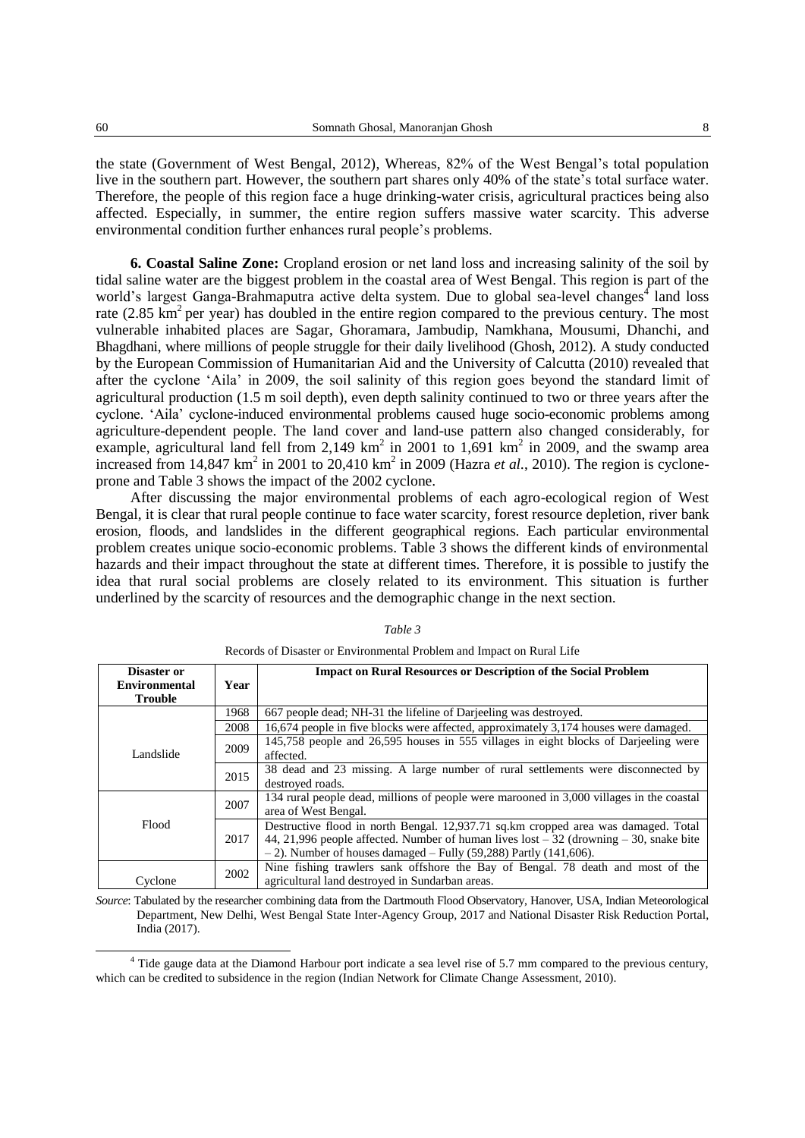the state (Government of West Bengal, 2012), Whereas, 82% of the West Bengal's total population live in the southern part. However, the southern part shares only 40% of the state's total surface water. Therefore, the people of this region face a huge drinking-water crisis, agricultural practices being also affected. Especially, in summer, the entire region suffers massive water scarcity. This adverse environmental condition further enhances rural people's problems.

**6. Coastal Saline Zone:** Cropland erosion or net land loss and increasing salinity of the soil by tidal saline water are the biggest problem in the coastal area of West Bengal. This region is part of the world's largest Ganga-Brahmaputra active delta system. Due to global sea-level changes<sup>4</sup> land loss rate (2.85 km<sup>2</sup> per year) has doubled in the entire region compared to the previous century. The most vulnerable inhabited places are Sagar, Ghoramara, Jambudip, Namkhana, Mousumi, Dhanchi, and Bhagdhani, where millions of people struggle for their daily livelihood (Ghosh, 2012). A study conducted by the European Commission of Humanitarian Aid and the University of Calcutta (2010) revealed that after the cyclone 'Aila' in 2009, the soil salinity of this region goes beyond the standard limit of agricultural production (1.5 m soil depth), even depth salinity continued to two or three years after the cyclone. 'Aila' cyclone-induced environmental problems caused huge socio-economic problems among agriculture-dependent people. The land cover and land-use pattern also changed considerably, for example, agricultural land fell from 2,149  $km^2$  in 2001 to 1,691  $km^2$  in 2009, and the swamp area increased from  $14,847 \text{ km}^2$  in 2001 to 20,410 km<sup>2</sup> in 2009 (Hazra *et al.*, 2010). The region is cycloneprone and Table 3 shows the impact of the 2002 cyclone.

After discussing the major environmental problems of each agro-ecological region of West Bengal, it is clear that rural people continue to face water scarcity, forest resource depletion, river bank erosion, floods, and landslides in the different geographical regions. Each particular environmental problem creates unique socio-economic problems. Table 3 shows the different kinds of environmental hazards and their impact throughout the state at different times. Therefore, it is possible to justify the idea that rural social problems are closely related to its environment. This situation is further underlined by the scarcity of resources and the demographic change in the next section.

| Disaster or          |           | <b>Impact on Rural Resources or Description of the Social Problem</b>                             |
|----------------------|-----------|---------------------------------------------------------------------------------------------------|
| <b>Environmental</b> | Year      |                                                                                                   |
| <b>Trouble</b>       |           |                                                                                                   |
|                      | 1968      | 667 people dead; NH-31 the lifeline of Darjeeling was destroyed.                                  |
|                      | 2008      | 16,674 people in five blocks were affected, approximately 3,174 houses were damaged.              |
|                      | 2009      | 145,758 people and 26,595 houses in 555 villages in eight blocks of Darjeeling were               |
| Landslide<br>2015    | affected. |                                                                                                   |
|                      |           | 38 dead and 23 missing. A large number of rural settlements were disconnected by                  |
|                      |           | destroyed roads.                                                                                  |
|                      | 2007      | 134 rural people dead, millions of people were marooned in 3,000 villages in the coastal          |
|                      |           | area of West Bengal.                                                                              |
| Flood                |           | Destructive flood in north Bengal. 12,937.71 sq.km cropped area was damaged. Total                |
|                      | 2017      | 44, 21,996 people affected. Number of human lives $\text{lost} - 32$ (drowning $-30$ , snake bite |
|                      |           | $-$ 2). Number of houses damaged $-$ Fully (59,288) Partly (141,606).                             |
|                      | 2002      | Nine fishing trawlers sank offshore the Bay of Bengal. 78 death and most of the                   |
| Cyclone              |           | agricultural land destroyed in Sundarban areas.                                                   |

### *Table 3*

*Source*: Tabulated by the researcher combining data from the Dartmouth Flood Observatory, Hanover, USA, Indian Meteorological Department, New Delhi, West Bengal State Inter-Agency Group, 2017 and National Disaster Risk Reduction Portal, India (2017).

Records of Disaster or Environmental Problem and Impact on Rural Life

<sup>4</sup> Tide gauge data at the Diamond Harbour port indicate a sea level rise of 5.7 mm compared to the previous century, which can be credited to subsidence in the region (Indian Network for Climate Change Assessment, 2010).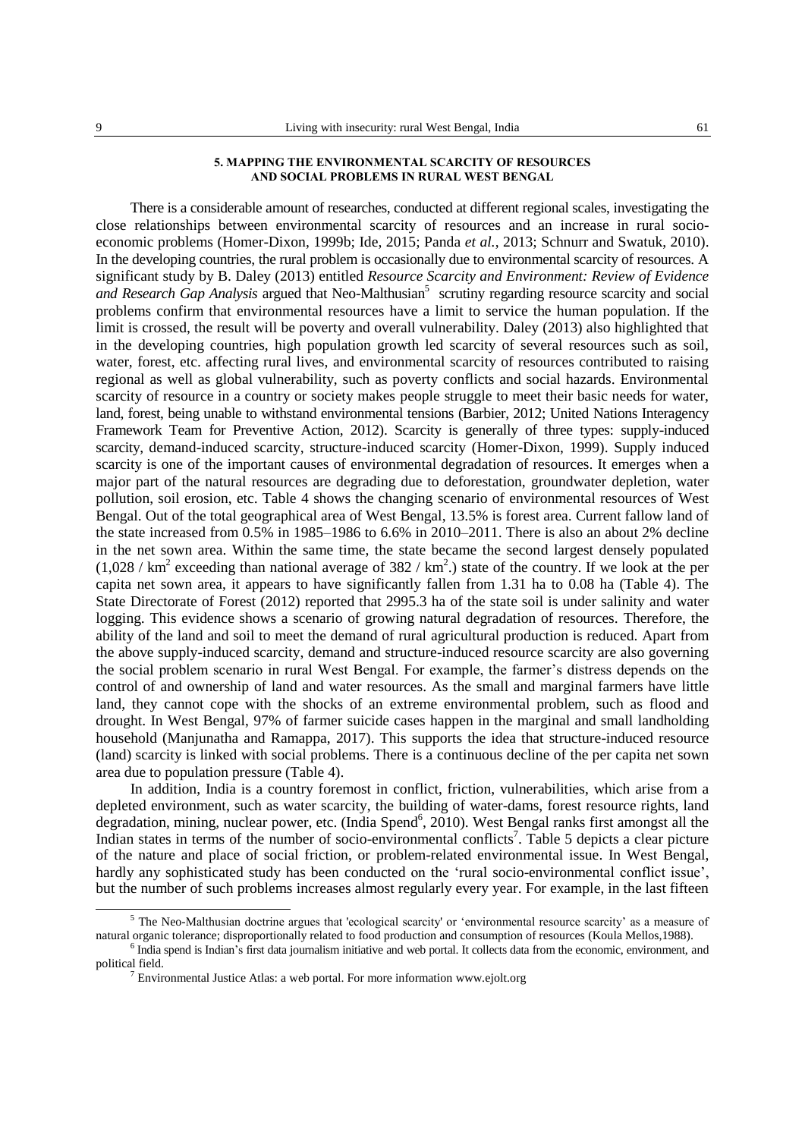### **5. MAPPING THE ENVIRONMENTAL SCARCITY OF RESOURCES AND SOCIAL PROBLEMS IN RURAL WEST BENGAL**

There is a considerable amount of researches, conducted at different regional scales, investigating the close relationships between environmental scarcity of resources and an increase in rural socioeconomic problems (Homer-Dixon, 1999b; Ide, 2015; Panda *et al.*, 2013; Schnurr and Swatuk, 2010). In the developing countries, the rural problem is occasionally due to environmental scarcity of resources. A significant study by B. Daley (2013) entitled *Resource Scarcity and Environment: Review of Evidence*  and Research Gap Analysis argued that Neo-Malthusian<sup>5</sup> scrutiny regarding resource scarcity and social problems confirm that environmental resources have a limit to service the human population. If the limit is crossed, the result will be poverty and overall vulnerability. Daley (2013) also highlighted that in the developing countries, high population growth led scarcity of several resources such as soil, water, forest, etc. affecting rural lives, and environmental scarcity of resources contributed to raising regional as well as global vulnerability, such as poverty conflicts and social hazards. Environmental scarcity of resource in a country or society makes people struggle to meet their basic needs for water, land, forest, being unable to withstand environmental tensions (Barbier, 2012; United Nations Interagency Framework Team for Preventive Action, 2012). Scarcity is generally of three types: supply-induced scarcity, demand-induced scarcity, structure-induced scarcity (Homer-Dixon, 1999). Supply induced scarcity is one of the important causes of environmental degradation of resources. It emerges when a major part of the natural resources are degrading due to deforestation, groundwater depletion, water pollution, soil erosion, etc. Table 4 shows the changing scenario of environmental resources of West Bengal. Out of the total geographical area of West Bengal, 13.5% is forest area. Current fallow land of the state increased from 0.5% in 1985–1986 to 6.6% in 2010–2011. There is also an about 2% decline in the net sown area. Within the same time, the state became the second largest densely populated  $(1,028 / \text{ km}^2 \text{ exceeding than national average of } 382 / \text{ km}^2)$  state of the country. If we look at the per capita net sown area, it appears to have significantly fallen from 1.31 ha to 0.08 ha (Table 4). The State Directorate of Forest (2012) reported that 2995.3 ha of the state soil is under salinity and water logging. This evidence shows a scenario of growing natural degradation of resources. Therefore, the ability of the land and soil to meet the demand of rural agricultural production is reduced. Apart from the above supply-induced scarcity, demand and structure-induced resource scarcity are also governing the social problem scenario in rural West Bengal. For example, the farmer's distress depends on the control of and ownership of land and water resources. As the small and marginal farmers have little land, they cannot cope with the shocks of an extreme environmental problem, such as flood and drought. In West Bengal, 97% of farmer suicide cases happen in the marginal and small landholding household (Manjunatha and Ramappa, 2017). This supports the idea that structure-induced resource (land) scarcity is linked with social problems. There is a continuous decline of the per capita net sown area due to population pressure (Table 4).

In addition, India is a country foremost in conflict, friction, vulnerabilities, which arise from a depleted environment, such as water scarcity, the building of water-dams, forest resource rights, land degradation, mining, nuclear power, etc. (India Spend<sup>6</sup>, 2010). West Bengal ranks first amongst all the Indian states in terms of the number of socio-environmental conflicts<sup>7</sup>. Table 5 depicts a clear picture of the nature and place of social friction, or problem-related environmental issue. In West Bengal, hardly any sophisticated study has been conducted on the 'rural socio-environmental conflict issue', but the number of such problems increases almost regularly every year. For example, in the last fifteen

<sup>5</sup> The Neo-Malthusian doctrine argues that 'ecological scarcity' or 'environmental resource scarcity' as a measure of natural organic tolerance; disproportionally related to food production and consumption of resources (Koula Mellos,1988).

<sup>&</sup>lt;sup>6</sup> India spend is Indian's first data [journalism](http://www.indiaspend.com/) initiative and web portal. It collects data from the economic, environment, and political field.

 $7$  Environmental Justice Atlas: a web portal. For more information [www.ejolt.org](http://www.ejolt.org/)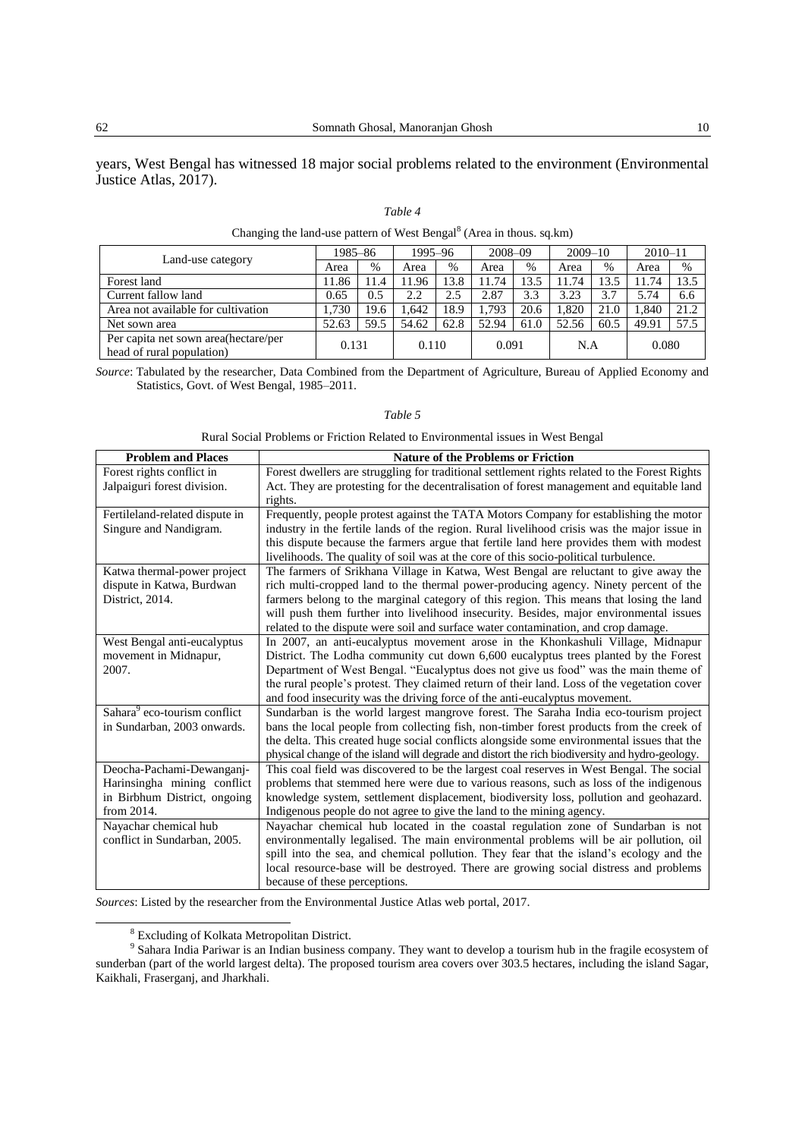years, West Bengal has witnessed 18 major social problems related to the environment (Environmental Justice Atlas, 2017).

#### *Table 4*

| Changing the fanguage pattern of west Deligar (Area in thous, sq.Kin) |         |      |         |      |             |               |             |      |             |      |
|-----------------------------------------------------------------------|---------|------|---------|------|-------------|---------------|-------------|------|-------------|------|
|                                                                       | 1985–86 |      | 1995-96 |      | $2008 - 09$ |               | $2009 - 10$ |      | $2010 - 11$ |      |
| Land-use category                                                     | Area    | $\%$ | Area    | %    | Area        | $\frac{0}{0}$ | Area        | $\%$ | Area        | $\%$ |
| Forest land                                                           | 1.86    | 11.4 | 11.96   | 13.8 | 11.74       | 13.5          | 11.74       | 13.5 | 11.74       | 13.5 |
| Current fallow land                                                   | 0.65    | 0.5  | 2.2     | 2.5  | 2.87        | 3.3           | 3.23        | 3.7  | 5.74        | 6.6  |
| Area not available for cultivation                                    | 1,730   | 19.6 | .642    | 18.9 | 1.793       | 20.6          | 1.820       | 21.0 | 1.840       | 21.2 |
| Net sown area                                                         | 52.63   | 59.5 | 54.62   | 62.8 | 52.94       | 61.0          | 52.56       | 60.5 | 49.91       | 57.5 |
| Per capita net sown area (hectare/per<br>head of rural population)    | 0.131   |      | 0.110   |      | 0.091       |               | N.A         |      | 0.080       |      |

|  | Changing the land-use pattern of West Bengal <sup>8</sup> (Area in thous. sq.km) |  |  |  |
|--|----------------------------------------------------------------------------------|--|--|--|
|--|----------------------------------------------------------------------------------|--|--|--|

*Source*: Tabulated by the researcher, Data Combined from the Department of Agriculture, Bureau of Applied Economy and Statistics, Govt. of West Bengal, 1985–2011.

#### *Table 5*

Rural Social Problems or Friction Related to Environmental issues in West Bengal

| <b>Problem and Places</b>                             | <b>Nature of the Problems or Friction</b>                                                                                                                                 |
|-------------------------------------------------------|---------------------------------------------------------------------------------------------------------------------------------------------------------------------------|
| Forest rights conflict in                             | Forest dwellers are struggling for traditional settlement rights related to the Forest Rights                                                                             |
| Jalpaiguri forest division.                           | Act. They are protesting for the decentralisation of forest management and equitable land                                                                                 |
|                                                       | rights.                                                                                                                                                                   |
| Fertileland-related dispute in                        | Frequently, people protest against the TATA Motors Company for establishing the motor                                                                                     |
| Singure and Nandigram.                                | industry in the fertile lands of the region. Rural livelihood crisis was the major issue in                                                                               |
|                                                       | this dispute because the farmers argue that fertile land here provides them with modest                                                                                   |
|                                                       | livelihoods. The quality of soil was at the core of this socio-political turbulence.                                                                                      |
| Katwa thermal-power project                           | The farmers of Srikhana Village in Katwa, West Bengal are reluctant to give away the                                                                                      |
| dispute in Katwa, Burdwan                             | rich multi-cropped land to the thermal power-producing agency. Ninety percent of the                                                                                      |
| District, 2014.                                       | farmers belong to the marginal category of this region. This means that losing the land                                                                                   |
|                                                       | will push them further into livelihood insecurity. Besides, major environmental issues                                                                                    |
|                                                       | related to the dispute were soil and surface water contamination, and crop damage.                                                                                        |
| West Bengal anti-eucalyptus                           | In 2007, an anti-eucalyptus movement arose in the Khonkashuli Village, Midnapur                                                                                           |
| movement in Midnapur,                                 | District. The Lodha community cut down 6,600 eucalyptus trees planted by the Forest                                                                                       |
| 2007.                                                 | Department of West Bengal. "Eucalyptus does not give us food" was the main theme of                                                                                       |
|                                                       | the rural people's protest. They claimed return of their land. Loss of the vegetation cover                                                                               |
|                                                       | and food insecurity was the driving force of the anti-eucalyptus movement.                                                                                                |
| Sahara <sup>9</sup> eco-tourism conflict              | Sundarban is the world largest mangrove forest. The Saraha India eco-tourism project                                                                                      |
| in Sundarban, 2003 onwards.                           | bans the local people from collecting fish, non-timber forest products from the creek of                                                                                  |
|                                                       | the delta. This created huge social conflicts alongside some environmental issues that the                                                                                |
|                                                       | physical change of the island will degrade and distort the rich biodiversity and hydro-geology.                                                                           |
| Deocha-Pachami-Dewanganj-                             | This coal field was discovered to be the largest coal reserves in West Bengal. The social                                                                                 |
| Harinsingha mining conflict                           | problems that stemmed here were due to various reasons, such as loss of the indigenous                                                                                    |
| in Birbhum District, ongoing<br>from 2014.            | knowledge system, settlement displacement, biodiversity loss, pollution and geohazard.                                                                                    |
|                                                       | Indigenous people do not agree to give the land to the mining agency.                                                                                                     |
| Nayachar chemical hub<br>conflict in Sundarban, 2005. | Nayachar chemical hub located in the coastal regulation zone of Sundarban is not<br>environmentally legalised. The main environmental problems will be air pollution, oil |
|                                                       | spill into the sea, and chemical pollution. They fear that the island's ecology and the                                                                                   |
|                                                       | local resource-base will be destroyed. There are growing social distress and problems                                                                                     |
|                                                       | because of these perceptions.                                                                                                                                             |
|                                                       |                                                                                                                                                                           |

*Sources*: Listed by the researcher from the Environmental Justice Atlas web portal, 2017.

<sup>&</sup>lt;sup>8</sup> Excluding of Kolkata Metropolitan District.<br><sup>9</sup> Sahara India Pariwar is an Indian business company. They want to develop a tourism hub in the fragile ecosystem of sunderban (part of the world largest delta). The proposed tourism area covers over 303.5 hectares, including the island Sagar, Kaikhali, Fraserganj, and Jharkhali.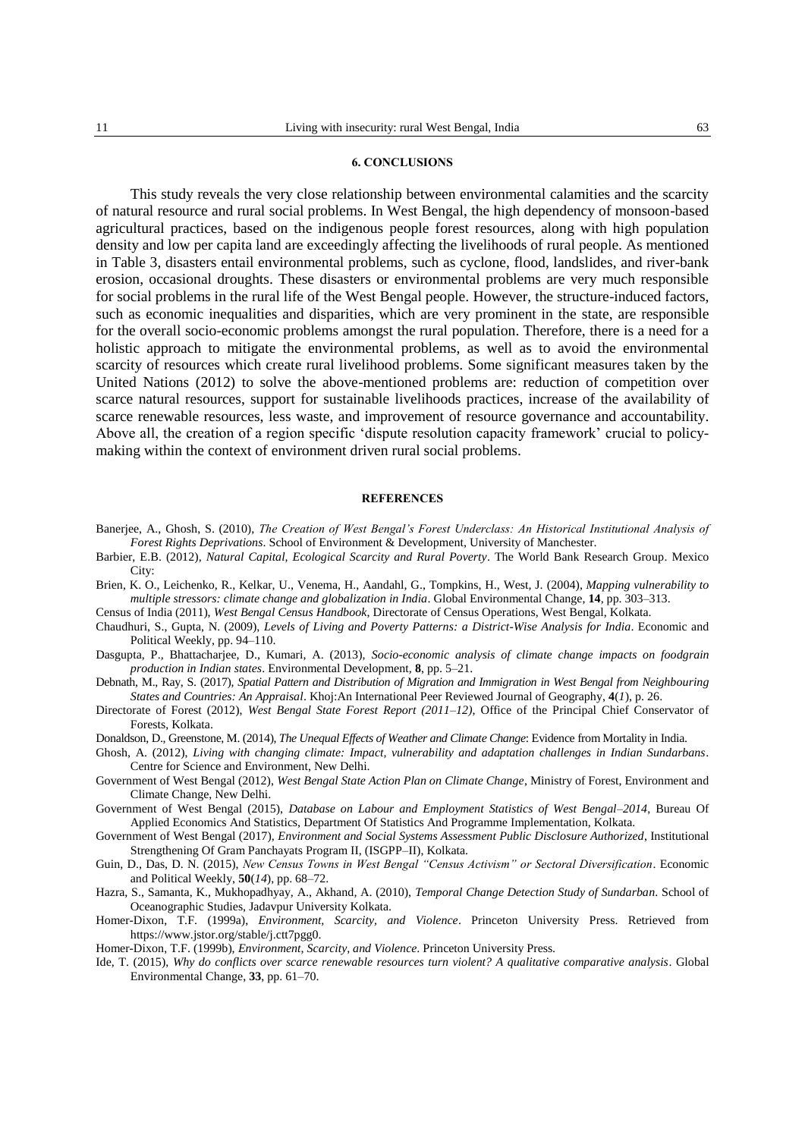#### **6. CONCLUSIONS**

This study reveals the very close relationship between environmental calamities and the scarcity of natural resource and rural social problems. In West Bengal, the high dependency of monsoon-based agricultural practices, based on the indigenous people forest resources, along with high population density and low per capita land are exceedingly affecting the livelihoods of rural people. As mentioned in Table 3, disasters entail environmental problems, such as cyclone, flood, landslides, and river-bank erosion, occasional droughts. These disasters or environmental problems are very much responsible for social problems in the rural life of the West Bengal people. However, the structure-induced factors, such as economic inequalities and disparities, which are very prominent in the state, are responsible for the overall socio-economic problems amongst the rural population. Therefore, there is a need for a holistic approach to mitigate the environmental problems, as well as to avoid the environmental scarcity of resources which create rural livelihood problems. Some significant measures taken by the United Nations (2012) to solve the above-mentioned problems are: reduction of competition over scarce natural resources, support for sustainable livelihoods practices, increase of the availability of scarce renewable resources, less waste, and improvement of resource governance and accountability. Above all, the creation of a region specific 'dispute resolution capacity framework' crucial to policymaking within the context of environment driven rural social problems.

#### **REFERENCES**

- Banerjee, A., Ghosh, S. (2010), *The Creation of West Bengal's Forest Underclass: An Historical Institutional Analysis of Forest Rights Deprivations*. School of Environment & Development, University of Manchester.
- Barbier, E.B. (2012), *Natural Capital, Ecological Scarcity and Rural Poverty*. The World Bank Research Group. Mexico City:
- Brien, K. O., Leichenko, R., Kelkar, U., Venema, H., Aandahl, G., Tompkins, H., West, J. (2004), *Mapping vulnerability to multiple stressors: climate change and globalization in India*. Global Environmental Change, **14**, pp. 303–313.
- Census of India (2011), *West Bengal Census Handbook*, Directorate of Census Operations, West Bengal, Kolkata.
- Chaudhuri, S., Gupta, N. (2009), *Levels of Living and Poverty Patterns: a District-Wise Analysis for India*. Economic and Political Weekly, pp. 94–110.
- Dasgupta, P., Bhattacharjee, D., Kumari, A. (2013), *Socio-economic analysis of climate change impacts on foodgrain production in Indian states*. Environmental Development, **8**, pp. 5–21.
- Debnath, M., Ray, S. (2017), *Spatial Pattern and Distribution of Migration and Immigration in West Bengal from Neighbouring States and Countries: An Appraisal*. Khoj:An International Peer Reviewed Journal of Geography, **4**(*1*), p. 26.
- Directorate of Forest (2012), *West Bengal State Forest Report (2011–12)*, Office of the Principal Chief Conservator of Forests, Kolkata.
- Donaldson, D., Greenstone, M. (2014), *The Unequal Effects of Weather and Climate Change*: Evidence from Mortality in India.
- Ghosh, A. (2012), *Living with changing climate: Impact, vulnerability and adaptation challenges in Indian Sundarbans*. Centre for Science and Environment, New Delhi.
- Government of West Bengal (2012), *West Bengal State Action Plan on Climate Change*, Ministry of Forest, Environment and Climate Change, New Delhi.
- Government of West Bengal (2015), *Database on Labour and Employment Statistics of West Bengal–2014*, Bureau Of Applied Economics And Statistics, Department Of Statistics And Programme Implementation, Kolkata.
- Government of West Bengal (2017), *Environment and Social Systems Assessment Public Disclosure Authorized*, Institutional Strengthening Of Gram Panchayats Program II, (ISGPP–II), Kolkata.
- Guin, D., Das, D. N. (2015), *New Census Towns in West Bengal "Census Activism" or Sectoral Diversification*. Economic and Political Weekly, **50**(*14*), pp. 68–72.
- Hazra, S., Samanta, K., Mukhopadhyay, A., Akhand, A. (2010), *Temporal Change Detection Study of Sundarban*. School of Oceanographic Studies, Jadavpur University Kolkata.
- Homer-Dixon, T.F. (1999a), *Environment, Scarcity, and Violence*. Princeton University Press. Retrieved from https://www.jstor.org/stable/j.ctt7pgg0.
- Homer-Dixon, T.F. (1999b), *Environment, Scarcity, and Violence*. Princeton University Press.
- Ide, T. (2015), *Why do conflicts over scarce renewable resources turn violent? A qualitative comparative analysis*. Global Environmental Change, **33**, pp. 61–70.